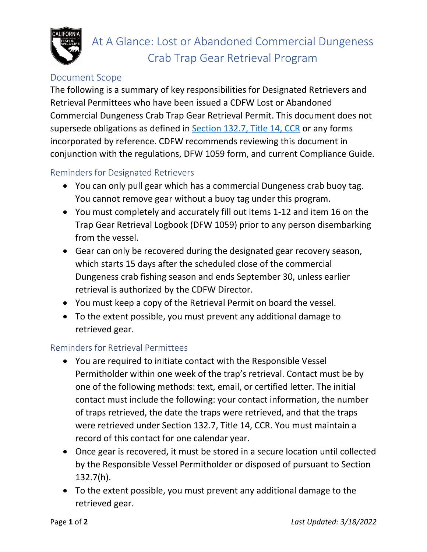

## Document Scope

The following is a summary of key responsibilities for Designated Retrievers and Retrieval Permittees who have been issued a CDFW Lost or Abandoned Commercial Dungeness Crab Trap Gear Retrieval Permit. This document does not supersede obligations as defined in [Section 132.7, Title 14, CCR](https://govt.westlaw.com/calregs/Document/IC6340CBA3BA24F68A300165CBF2A1390?viewType=FullText&listSource=Search&originationContext=Search+Result&transitionType=SearchItem&contextData=(sc.Search)&navigationPath=Search%2fv1%2fresults%2fnavigation%2fi0ad720f1000001776ef897022bd86e1c%3fNav%3dREGULATION_PUBLICVIEW%26fragmentIdentifier%3dIC6340CBA3BA24F68A300165CBF2A1390%26startIndex%3d1%26transitionType%3dSearchItem%26contextData%3d%2528sc.Default%2529%26originationContext%3dSearch%2520Result&list=REGULATION_PUBLICVIEW&rank=2&t_tocnode=12&t_querytext=132.7) or any forms incorporated by reference. CDFW recommends reviewing this document in conjunction with the regulations, DFW 1059 form, and current Compliance Guide.

## Reminders for Designated Retrievers

- You can only pull gear which has a commercial Dungeness crab buoy tag. You cannot remove gear without a buoy tag under this program.
- You must completely and accurately fill out items 1-12 and item 16 on the Trap Gear Retrieval Logbook (DFW 1059) prior to any person disembarking from the vessel.
- Gear can only be recovered during the designated gear recovery season, which starts 15 days after the scheduled close of the commercial Dungeness crab fishing season and ends September 30, unless earlier retrieval is authorized by the CDFW Director.
- You must keep a copy of the Retrieval Permit on board the vessel.
- To the extent possible, you must prevent any additional damage to retrieved gear.

## Reminders for Retrieval Permittees

- You are required to initiate contact with the Responsible Vessel Permitholder within one week of the trap's retrieval. Contact must be by one of the following methods: text, email, or certified letter. The initial contact must include the following: your contact information, the number of traps retrieved, the date the traps were retrieved, and that the traps were retrieved under Section 132.7, Title 14, CCR. You must maintain a record of this contact for one calendar year.
- Once gear is recovered, it must be stored in a secure location until collected by the Responsible Vessel Permitholder or disposed of pursuant to Section 132.7(h).
- To the extent possible, you must prevent any additional damage to the retrieved gear.